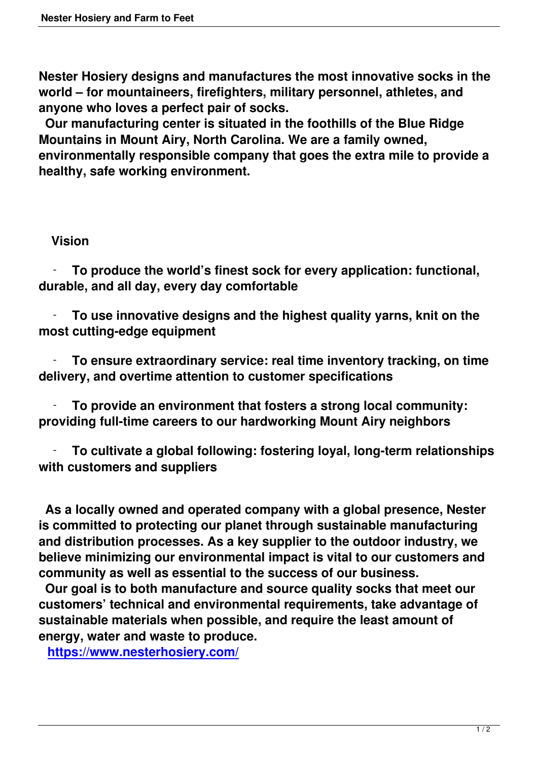**Nester Hosiery designs and manufactures the most innovative socks in the world – for mountaineers, firefighters, military personnel, athletes, and anyone who loves a perfect pair of socks.**

 **Our manufacturing center is situated in the foothills of the Blue Ridge Mountains in Mount Airy, North Carolina. We are a family owned, environmentally responsible company that goes the extra mile to provide a healthy, safe working environment.**

## **Vision**

 - **To produce the world's finest sock for every application: functional, durable, and all day, every day comfortable**

 - **To use innovative designs and the highest quality yarns, knit on the most cutting-edge equipment**

 - **To ensure extraordinary service: real time inventory tracking, on time delivery, and overtime attention to customer specifications**

 - **To provide an environment that fosters a strong local community: providing full-time careers to our hardworking Mount Airy neighbors**

 - **To cultivate a global following: fostering loyal, long-term relationships with customers and suppliers**

 **As a locally owned and operated company with a global presence, Nester is committed to protecting our planet through sustainable manufacturing and distribution processes. As a key supplier to the outdoor industry, we believe minimizing our environmental impact is vital to our customers and community as well as essential to the success of our business.**

 **Our goal is to both manufacture and source quality socks that meet our customers' technical and environmental requirements, take advantage of sustainable materials when possible, and require the least amount of energy, water and waste to produce.**

**https://www.nesterhosiery.com/**